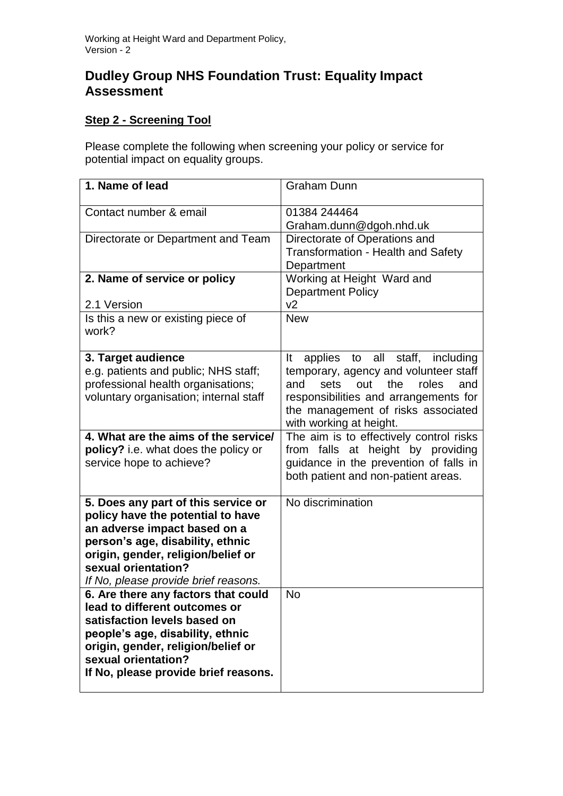## **Dudley Group NHS Foundation Trust: Equality Impact Assessment**

## **Step 2 - Screening Tool**

Please complete the following when screening your policy or service for potential impact on equality groups.

| 1. Name of lead                                                                                                                                                                                                                                   | <b>Graham Dunn</b>                                                                                                                                                                                                                    |
|---------------------------------------------------------------------------------------------------------------------------------------------------------------------------------------------------------------------------------------------------|---------------------------------------------------------------------------------------------------------------------------------------------------------------------------------------------------------------------------------------|
| Contact number & email                                                                                                                                                                                                                            | 01384 244464<br>Graham.dunn@dgoh.nhd.uk                                                                                                                                                                                               |
| Directorate or Department and Team                                                                                                                                                                                                                | Directorate of Operations and<br><b>Transformation - Health and Safety</b><br>Department                                                                                                                                              |
| 2. Name of service or policy                                                                                                                                                                                                                      | Working at Height Ward and<br><b>Department Policy</b>                                                                                                                                                                                |
| 2.1 Version<br>Is this a new or existing piece of<br>work?                                                                                                                                                                                        | v <sub>2</sub><br><b>New</b>                                                                                                                                                                                                          |
| 3. Target audience<br>e.g. patients and public; NHS staff;<br>professional health organisations;<br>voluntary organisation; internal staff                                                                                                        | applies to all staff, including<br>It<br>temporary, agency and volunteer staff<br>out<br>sets<br>the<br>roles<br>and<br>and<br>responsibilities and arrangements for<br>the management of risks associated<br>with working at height. |
| 4. What are the aims of the service/<br>policy? i.e. what does the policy or<br>service hope to achieve?                                                                                                                                          | The aim is to effectively control risks<br>from falls at height by providing<br>guidance in the prevention of falls in<br>both patient and non-patient areas.                                                                         |
| 5. Does any part of this service or<br>policy have the potential to have<br>an adverse impact based on a<br>person's age, disability, ethnic<br>origin, gender, religion/belief or<br>sexual orientation?<br>If No, please provide brief reasons. | No discrimination                                                                                                                                                                                                                     |
| 6. Are there any factors that could<br>lead to different outcomes or<br>satisfaction levels based on<br>people's age, disability, ethnic<br>origin, gender, religion/belief or<br>sexual orientation?<br>If No, please provide brief reasons.     | <b>No</b>                                                                                                                                                                                                                             |